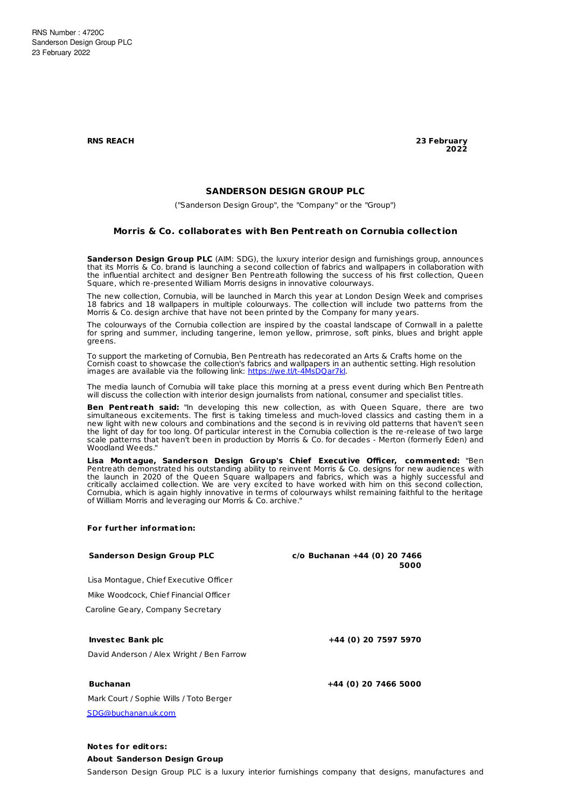**RNS REACH 23 February 2022**

## **SANDERSON DESIGN GROUP PLC**

("Sanderson Design Group", the "Company" or the "Group")

## **Morris & Co. collaborates with Ben Pent reath on Cornubia collect ion**

**Sanderson Design Group PLC** (AIM: SDG), the luxury interior design and furnishings group, announces that its Morris & Co. brand is launching a second collection of fabrics and wallpapers in collaboration with the influential architect and designer Ben Pentreath following the success of his first collection, Queen Square, which re-presented William Morris designs in innovative colourways.

The new collection, Cornubia, will be launched in March this year at London Design Week and comprises 18 fabrics and 18 wallpapers in multiple colourways. The collection will include two patterns from the Morris & Co. design archive that have not been printed by the Company for many years.

The colourways of the Cornubia collection are inspired by the coastal landscape of Cornwall in a palette for spring and summer, including tangerine, lemon yellow, primrose, soft pinks, blues and bright apple greens.

To support the marketing of Cornubia, Ben Pentreath has redecorated an Arts & Crafts home on the Cornish coast to showcase the collection's fabrics and wallpapers in an authentic setting. High resolution<br>images are available via the following link: <u>[https://we.tl/t-4MsDQar7kl](https://urldefense.proofpoint.com/v2/url?u=https-3A__we.tl_t-2D4MsDQar7kl&d=DwMGaQ&c=24Pv9SDmf15C3K1GQEblf0-dR4hG0m_5jejOBrkAV6M&r=653b9K6ArHnqH-eTKjk9SF1wUxtWWK8u3oU7VvESN2s&m=LL8HT49CQ-8-H1bcwEGQhyynwK1E0oerkdKoqwMdVupnaNNG8NTPmP6ugrUy4zGp&s=YhXX9rfVrhhO1tX9JboMClJhMzNEl7aqwqHx425mW4g&e=)</u>.

The media launch of Cornubia will take place this morning at a press event during which Ben Pentreath will discuss the collection with interior design journalists from national, consumer and specialist titles.

**Ben Pentreath said:** "In developing this new collection, as with Queen Square, there are two simultaneous excitements. The first is taking timeless and much-loved classics and casting them in a new light with new colours and combinations and the second is in reviving old patterns that haven't seen the light of day for too long. Of particular interest in the Cornubia collection is the re-release of two large scale patterns that haven't been in production by Morris & Co. for decades - Merton (formerly Eden) and Woodland Weeds."

**Lisa Montague, Sanderson Design Group's Chief Execut ive Officer, commented:** "Ben Pentreath demonstrated his outstanding ability to reinvent Morris & Co. designs for new audiences with the launch in 2020 of the Queen Square wallpapers and fabrics, which was a highly successful and critically acclaimed collection. We are very excited to have worked with him on this second collection, Cornubia, which is again highly innovative in terms of colourways whilst remaining faithful to the heritage of William Morris and leveraging our Morris & Co. archive."

#### **For furt her informat ion:**

| <b>Sanderson Design Group PLC</b>         | $c$ /o Buchanan +44 (0) 20 7466<br>5000 |
|-------------------------------------------|-----------------------------------------|
| Lisa Montague, Chief Executive Officer    |                                         |
| Mike Woodcock, Chief Financial Officer    |                                         |
| Caroline Geary, Company Secretary         |                                         |
| <b>Investec Bank plc</b>                  | +44 (0) 20 7597 5970                    |
| David Anderson / Alex Wright / Ben Farrow |                                         |
| <b>Buchanan</b>                           | +44 (0) 20 7466 5000                    |
| Mark Court / Sophie Wills / Toto Berger   |                                         |
| SDG@buchanan.uk.com                       |                                         |

# **Notes for editors:**

### **About Sanderson Design Group**

Sanderson Design Group PLC is a luxury interior furnishings company that designs, manufactures and